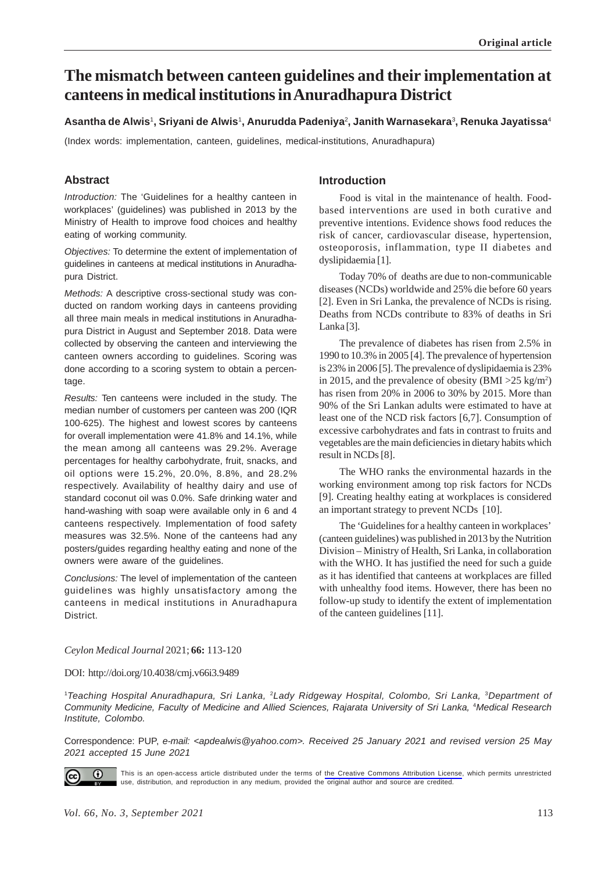# **The mismatch between canteen guidelines and their implementation at canteens in medical institutions in Anuradhapura District**

#### **Asantha de Alwis**<sup>1</sup> **, Sriyani de Alwis**<sup>1</sup> **, Anurudda Padeniya**<sup>2</sup> **, Janith Warnasekara**<sup>3</sup> **, Renuka Jayatissa**<sup>4</sup>

(Index words: implementation, canteen, guidelines, medical-institutions, Anuradhapura)

# **Abstract**

*Introduction:* The 'Guidelines for a healthy canteen in workplaces' (guidelines) was published in 2013 by the Ministry of Health to improve food choices and healthy eating of working community.

*Objectives:* To determine the extent of implementation of guidelines in canteens at medical institutions in Anuradhapura District.

*Methods:* A descriptive cross-sectional study was conducted on random working days in canteens providing all three main meals in medical institutions in Anuradhapura District in August and September 2018. Data were collected by observing the canteen and interviewing the canteen owners according to guidelines. Scoring was done according to a scoring system to obtain a percentage.

*Results:* Ten canteens were included in the study. The median number of customers per canteen was 200 (IQR 100-625). The highest and lowest scores by canteens for overall implementation were 41.8% and 14.1%, while the mean among all canteens was 29.2%. Average percentages for healthy carbohydrate, fruit, snacks, and oil options were 15.2%, 20.0%, 8.8%, and 28.2% respectively. Availability of healthy dairy and use of standard coconut oil was 0.0%. Safe drinking water and hand-washing with soap were available only in 6 and 4 canteens respectively. Implementation of food safety measures was 32.5%. None of the canteens had any posters/guides regarding healthy eating and none of the owners were aware of the guidelines.

*Conclusions:* The level of implementation of the canteen guidelines was highly unsatisfactory among the canteens in medical institutions in Anuradhapura District.

# **Introduction**

Food is vital in the maintenance of health. Foodbased interventions are used in both curative and preventive intentions. Evidence shows food reduces the risk of cancer, cardiovascular disease, hypertension, osteoporosis, inflammation, type II diabetes and dyslipidaemia [1].

Today 70% of deaths are due to non-communicable diseases (NCDs) worldwide and 25% die before 60 years [2]. Even in Sri Lanka, the prevalence of NCDs is rising. Deaths from NCDs contribute to 83% of deaths in Sri Lanka [3].

The prevalence of diabetes has risen from 2.5% in 1990 to 10.3% in 2005 [4]. The prevalence of hypertension is 23% in 2006 [5]. The prevalence of dyslipidaemia is 23% in 2015, and the prevalence of obesity  $(BMI > 25 \text{ kg/m}^2)$ has risen from 20% in 2006 to 30% by 2015. More than 90% of the Sri Lankan adults were estimated to have at least one of the NCD risk factors [6,7]. Consumption of excessive carbohydrates and fats in contrast to fruits and vegetables are the main deficiencies in dietary habits which result in NCDs [8].

The WHO ranks the environmental hazards in the working environment among top risk factors for NCDs [9]. Creating healthy eating at workplaces is considered an important strategy to prevent NCDs [10].

The 'Guidelines for a healthy canteen in workplaces' (canteen guidelines) was published in 2013 by the Nutrition Division – Ministry of Health, Sri Lanka, in collaboration with the WHO. It has justified the need for such a guide as it has identified that canteens at workplaces are filled with unhealthy food items. However, there has been no follow-up study to identify the extent of implementation of the canteen guidelines [11].

#### *Ceylon Medical Journal* 2021; **66:** 113-120

#### DOI: http://doi.org/10.4038/cmj.v66i3.9489

1 *Teaching Hospital Anuradhapura, Sri Lanka,* <sup>2</sup>*Lady Ridgeway Hospital, Colombo, Sri Lanka,* <sup>3</sup>*Department of* Community Medicine, Faculty of Medicine and Allied Sciences, Rajarata University of Sri Lanka, <sup>4</sup>Medical Research *Institute, Colombo.*

Correspondence: PUP, *e-mail: <apdealwis@yahoo.com>. Received 25 January 2021 and revised version 25 May 2021 accepted 15 June 2021*



This is an open-access article distributed under the terms of [the Creative Commons Attribution License](https://creativecommons.org/licenses/by/4.0/legalcode), which permits unrestricted use, distribution, and reproduction in any medium, provided the original author and source are credited.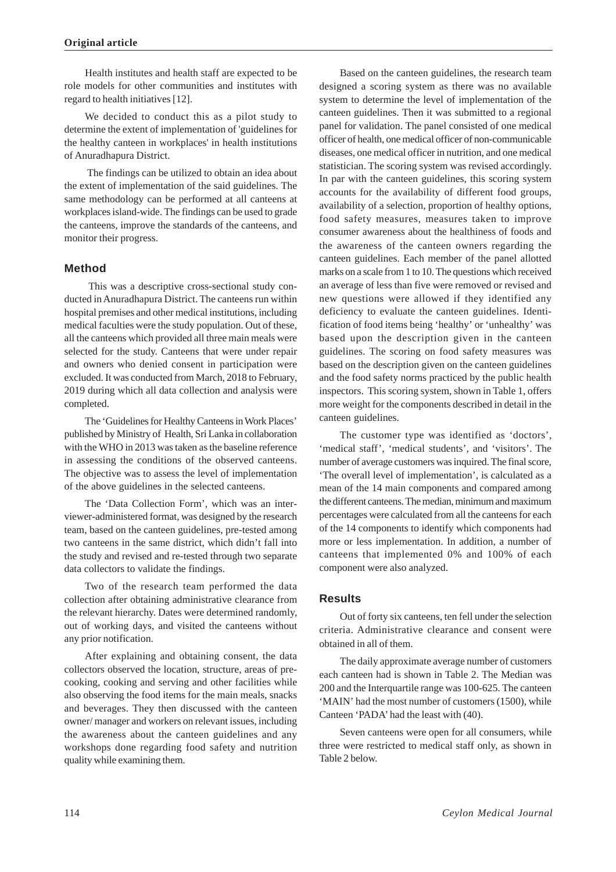Health institutes and health staff are expected to be role models for other communities and institutes with regard to health initiatives [12].

We decided to conduct this as a pilot study to determine the extent of implementation of 'guidelines for the healthy canteen in workplaces' in health institutions of Anuradhapura District.

 The findings can be utilized to obtain an idea about the extent of implementation of the said guidelines. The same methodology can be performed at all canteens at workplaces island-wide. The findings can be used to grade the canteens, improve the standards of the canteens, and monitor their progress.

# **Method**

 This was a descriptive cross-sectional study conducted in Anuradhapura District. The canteens run within hospital premises and other medical institutions, including medical faculties were the study population. Out of these, all the canteens which provided all three main meals were selected for the study. Canteens that were under repair and owners who denied consent in participation were excluded. It was conducted from March, 2018 to February, 2019 during which all data collection and analysis were completed.

The 'Guidelines for Healthy Canteens in Work Places' published by Ministry of Health, Sri Lanka in collaboration with the WHO in 2013 was taken as the baseline reference in assessing the conditions of the observed canteens. The objective was to assess the level of implementation of the above guidelines in the selected canteens.

The 'Data Collection Form', which was an interviewer-administered format, was designed by the research team, based on the canteen guidelines, pre-tested among two canteens in the same district, which didn't fall into the study and revised and re-tested through two separate data collectors to validate the findings.

Two of the research team performed the data collection after obtaining administrative clearance from the relevant hierarchy. Dates were determined randomly, out of working days, and visited the canteens without any prior notification.

After explaining and obtaining consent, the data collectors observed the location, structure, areas of precooking, cooking and serving and other facilities while also observing the food items for the main meals, snacks and beverages. They then discussed with the canteen owner/ manager and workers on relevant issues, including the awareness about the canteen guidelines and any workshops done regarding food safety and nutrition quality while examining them.

Based on the canteen guidelines, the research team designed a scoring system as there was no available system to determine the level of implementation of the canteen guidelines. Then it was submitted to a regional panel for validation. The panel consisted of one medical officer of health, one medical officer of non-communicable diseases, one medical officer in nutrition, and one medical statistician. The scoring system was revised accordingly. In par with the canteen guidelines, this scoring system accounts for the availability of different food groups, availability of a selection, proportion of healthy options, food safety measures, measures taken to improve consumer awareness about the healthiness of foods and the awareness of the canteen owners regarding the canteen guidelines. Each member of the panel allotted marks on a scale from 1 to 10. The questions which received an average of less than five were removed or revised and new questions were allowed if they identified any deficiency to evaluate the canteen guidelines. Identification of food items being 'healthy' or 'unhealthy' was based upon the description given in the canteen guidelines. The scoring on food safety measures was based on the description given on the canteen guidelines and the food safety norms practiced by the public health inspectors. This scoring system, shown in Table 1, offers more weight for the components described in detail in the canteen guidelines.

The customer type was identified as 'doctors', 'medical staff', 'medical students', and 'visitors'. The number of average customers was inquired. The final score, 'The overall level of implementation', is calculated as a mean of the 14 main components and compared among the different canteens. The median, minimum and maximum percentages were calculated from all the canteens for each of the 14 components to identify which components had more or less implementation. In addition, a number of canteens that implemented 0% and 100% of each component were also analyzed.

# **Results**

Out of forty six canteens, ten fell under the selection criteria. Administrative clearance and consent were obtained in all of them.

The daily approximate average number of customers each canteen had is shown in Table 2. The Median was 200 and the Interquartile range was 100-625. The canteen 'MAIN' had the most number of customers (1500), while Canteen 'PADA' had the least with (40).

Seven canteens were open for all consumers, while three were restricted to medical staff only, as shown in Table 2 below.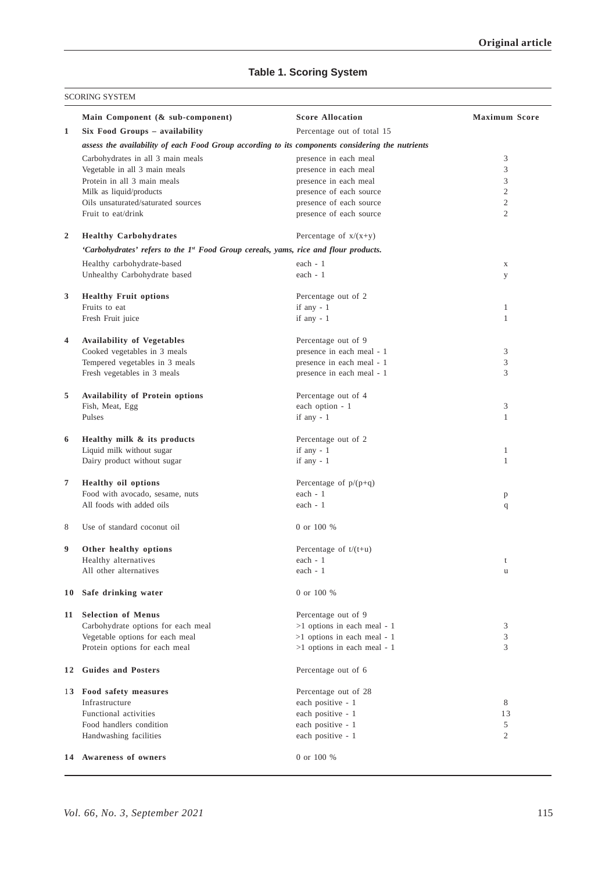# **Table 1. Scoring System**

|                | Main Component (& sub-component)                                                                 | <b>Score Allocation</b>       | <b>Maximum Score</b> |  |  |  |  |
|----------------|--------------------------------------------------------------------------------------------------|-------------------------------|----------------------|--|--|--|--|
| $\mathbf{1}$   | Six Food Groups - availability                                                                   | Percentage out of total 15    |                      |  |  |  |  |
|                | assess the availability of each Food Group according to its components considering the nutrients |                               |                      |  |  |  |  |
|                | Carbohydrates in all 3 main meals                                                                | presence in each meal         | 3                    |  |  |  |  |
|                | Vegetable in all 3 main meals                                                                    | presence in each meal         | 3                    |  |  |  |  |
|                | Protein in all 3 main meals                                                                      | presence in each meal         | 3                    |  |  |  |  |
|                | Milk as liquid/products                                                                          | presence of each source       | $\overline{c}$       |  |  |  |  |
|                | Oils unsaturated/saturated sources                                                               | presence of each source       | $\mathfrak{2}$       |  |  |  |  |
|                | Fruit to eat/drink                                                                               | presence of each source       | $\overline{c}$       |  |  |  |  |
| $\overline{2}$ | <b>Healthy Carbohydrates</b>                                                                     | Percentage of $x/(x+y)$       |                      |  |  |  |  |
|                | 'Carbohydrates' refers to the 1st Food Group cereals, yams, rice and flour products.             |                               |                      |  |  |  |  |
|                | Healthy carbohydrate-based                                                                       | each - 1                      | X                    |  |  |  |  |
|                | Unhealthy Carbohydrate based                                                                     | each - 1                      | у                    |  |  |  |  |
| 3              | <b>Healthy Fruit options</b>                                                                     | Percentage out of 2           |                      |  |  |  |  |
|                | Fruits to eat                                                                                    | if any - 1                    | $\mathbf{1}$         |  |  |  |  |
|                | Fresh Fruit juice                                                                                | if any $-1$                   | $\mathbf{1}$         |  |  |  |  |
| 4              | <b>Availability of Vegetables</b>                                                                | Percentage out of 9           |                      |  |  |  |  |
|                | Cooked vegetables in 3 meals                                                                     | presence in each meal - 1     | 3                    |  |  |  |  |
|                | Tempered vegetables in 3 meals                                                                   | presence in each meal - 1     | 3                    |  |  |  |  |
|                | Fresh vegetables in 3 meals                                                                      | presence in each meal - 1     | 3                    |  |  |  |  |
| 5              | Availability of Protein options                                                                  | Percentage out of 4           |                      |  |  |  |  |
|                | Fish, Meat, Egg                                                                                  | each option - 1               | 3                    |  |  |  |  |
|                | Pulses                                                                                           | if any - 1                    | $\mathbf{1}$         |  |  |  |  |
| 6              | Healthy milk & its products                                                                      | Percentage out of 2           |                      |  |  |  |  |
|                | Liquid milk without sugar                                                                        | if any $-1$                   | $\mathbf{1}$         |  |  |  |  |
|                | Dairy product without sugar                                                                      | if any $-1$                   | $\mathbf{1}$         |  |  |  |  |
| 7              | Healthy oil options                                                                              | Percentage of $p/(p+q)$       |                      |  |  |  |  |
|                | Food with avocado, sesame, nuts                                                                  | each $-1$                     | p                    |  |  |  |  |
|                | All foods with added oils                                                                        | each $-1$                     | q                    |  |  |  |  |
| 8              | Use of standard coconut oil                                                                      | 0 or 100 %                    |                      |  |  |  |  |
| 9              | Other healthy options                                                                            | Percentage of $t/(t+u)$       |                      |  |  |  |  |
|                | Healthy alternatives                                                                             | each - 1                      | t                    |  |  |  |  |
|                | All other alternatives                                                                           | each - 1                      | u                    |  |  |  |  |
| 10             | Safe drinking water                                                                              | 0 or 100 %                    |                      |  |  |  |  |
| 11             | <b>Selection of Menus</b>                                                                        | Percentage out of 9           |                      |  |  |  |  |
|                | Carbohydrate options for each meal                                                               | >1 options in each meal - 1   | 3                    |  |  |  |  |
|                | Vegetable options for each meal                                                                  | $>1$ options in each meal - 1 | 3                    |  |  |  |  |
|                | Protein options for each meal                                                                    | >1 options in each meal - 1   | 3                    |  |  |  |  |
| 12             | <b>Guides and Posters</b>                                                                        | Percentage out of 6           |                      |  |  |  |  |
|                | 13 Food safety measures                                                                          | Percentage out of 28          |                      |  |  |  |  |
|                | Infrastructure                                                                                   | each positive - 1             | 8                    |  |  |  |  |
|                | Functional activities                                                                            | each positive - 1             | 13                   |  |  |  |  |
|                | Food handlers condition                                                                          | each positive - 1             | 5                    |  |  |  |  |
|                | Handwashing facilities                                                                           | each positive - 1             | 2                    |  |  |  |  |
|                | 14 Awareness of owners                                                                           | 0 or 100 %                    |                      |  |  |  |  |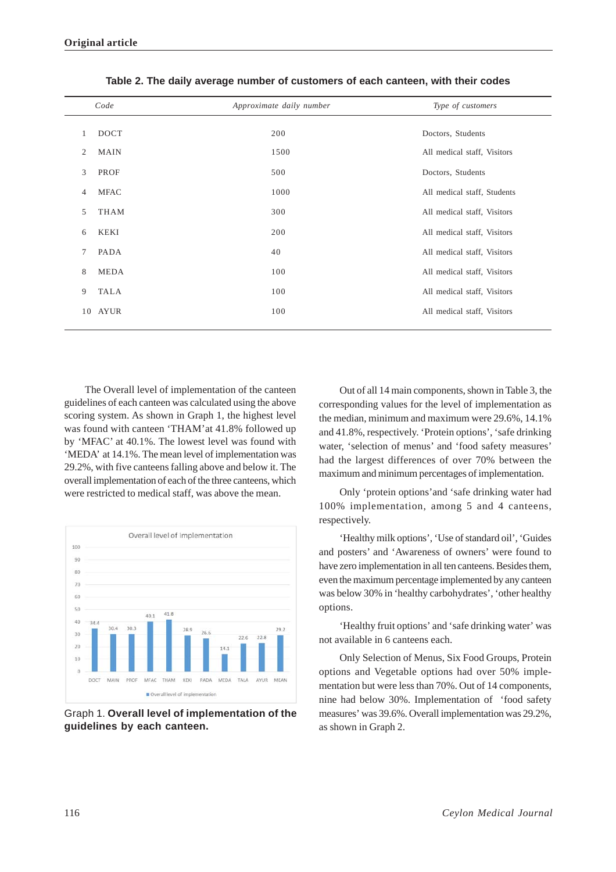|    | Code        | Approximate daily number | Type of customers           |
|----|-------------|--------------------------|-----------------------------|
| 1  | <b>DOCT</b> | 200                      | Doctors, Students           |
| 2  | <b>MAIN</b> | 1500                     | All medical staff, Visitors |
| 3  | PROF        | 500                      | Doctors, Students           |
| 4  | <b>MFAC</b> | 1000                     | All medical staff, Students |
| 5  | <b>THAM</b> | 300                      | All medical staff, Visitors |
| 6  | KEKI        | 200                      | All medical staff, Visitors |
| 7  | PADA        | 40                       | All medical staff, Visitors |
| 8  | MEDA        | 100                      | All medical staff, Visitors |
| 9  | <b>TALA</b> | 100                      | All medical staff, Visitors |
| 10 | AYUR        | 100                      | All medical staff, Visitors |
|    |             |                          |                             |

|  |  | Table 2. The daily average number of customers of each canteen, with their codes |  |  |  |  |  |  |  |
|--|--|----------------------------------------------------------------------------------|--|--|--|--|--|--|--|
|--|--|----------------------------------------------------------------------------------|--|--|--|--|--|--|--|

The Overall level of implementation of the canteen guidelines of each canteen was calculated using the above scoring system. As shown in Graph 1, the highest level was found with canteen 'THAM'at 41.8% followed up by 'MFAC' at 40.1%. The lowest level was found with 'MEDA' at 14.1%. The mean level of implementation was 29.2%, with five canteens falling above and below it. The overall implementation of each of the three canteens, which were restricted to medical staff, was above the mean.



Graph 1. **Overall level of implementation of the guidelines by each canteen.**

Out of all 14 main components, shown in Table 3, the corresponding values for the level of implementation as the median, minimum and maximum were 29.6%, 14.1% and 41.8%, respectively. 'Protein options', 'safe drinking water, 'selection of menus' and 'food safety measures' had the largest differences of over 70% between the maximum and minimum percentages of implementation.

Only 'protein options'and 'safe drinking water had 100% implementation, among 5 and 4 canteens, respectively.

'Healthy milk options', 'Use of standard oil', 'Guides and posters' and 'Awareness of owners' were found to have zero implementation in all ten canteens. Besides them, even the maximum percentage implemented by any canteen was below 30% in 'healthy carbohydrates', 'other healthy options.

'Healthy fruit options' and 'safe drinking water' was not available in 6 canteens each.

Only Selection of Menus, Six Food Groups, Protein options and Vegetable options had over 50% implementation but were less than 70%. Out of 14 components, nine had below 30%. Implementation of 'food safety measures' was 39.6%. Overall implementation was 29.2%, as shown in Graph 2.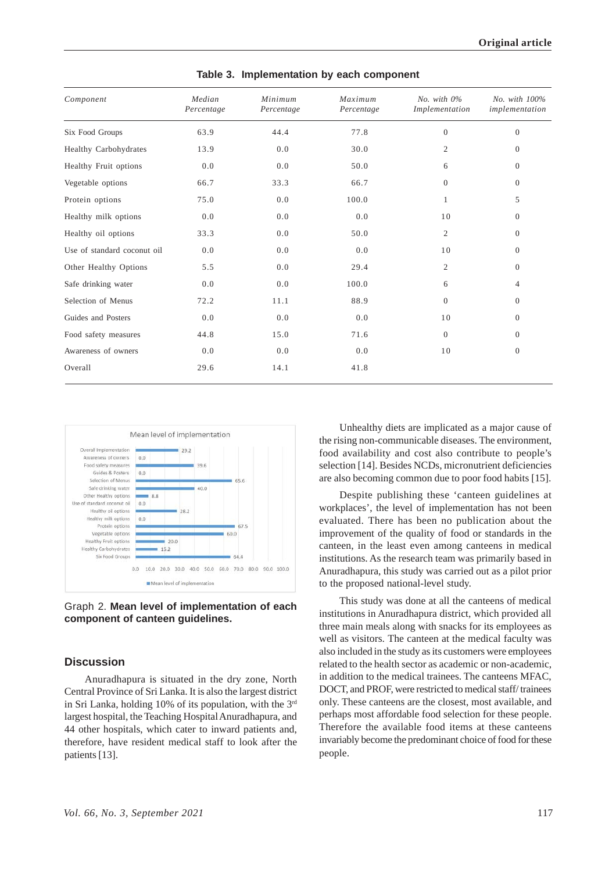| Component                   | Median<br>Percentage | Minimum<br>Percentage | Maximum<br>Percentage | No. with $0\%$<br>Implementation | No. with 100%<br>implementation |
|-----------------------------|----------------------|-----------------------|-----------------------|----------------------------------|---------------------------------|
| Six Food Groups             | 63.9                 | 44.4                  | 77.8                  | $\overline{0}$                   | $\theta$                        |
| Healthy Carbohydrates       | 13.9                 | 0.0                   | 30.0                  | $\overline{2}$                   | $\overline{0}$                  |
| Healthy Fruit options       | 0.0                  | 0.0                   | 50.0                  | 6                                | $\overline{0}$                  |
| Vegetable options           | 66.7                 | 33.3                  | 66.7                  | $\overline{0}$                   | $\overline{0}$                  |
| Protein options             | 75.0                 | 0.0                   | 100.0                 | 1                                | 5                               |
| Healthy milk options        | 0.0                  | 0.0                   | 0.0                   | 10                               | $\overline{0}$                  |
| Healthy oil options         | 33.3                 | 0.0                   | 50.0                  | $\mathfrak{2}$                   | $\theta$                        |
| Use of standard coconut oil | 0.0                  | 0.0                   | 0.0                   | 10                               | $\Omega$                        |
| Other Healthy Options       | 5.5                  | 0.0                   | 29.4                  | $\overline{2}$                   | $\overline{0}$                  |
| Safe drinking water         | 0.0                  | 0.0                   | 100.0                 | 6                                | 4                               |
| Selection of Menus          | 72.2                 | 11.1                  | 88.9                  | $\overline{0}$                   | $\overline{0}$                  |
| Guides and Posters          | 0.0                  | 0.0                   | 0.0                   | 10                               | $\Omega$                        |
| Food safety measures        | 44.8                 | 15.0                  | 71.6                  | $\Omega$                         | $\Omega$                        |
| Awareness of owners         | 0.0                  | 0.0                   | 0.0                   | 10                               | $\overline{0}$                  |
| Overall                     | 29.6                 | 14.1                  | 41.8                  |                                  |                                 |

**Table 3. Implementation by each component**



Graph 2. **Mean level of implementation of each component of canteen guidelines.**

#### **Discussion**

Anuradhapura is situated in the dry zone, North Central Province of Sri Lanka. It is also the largest district in Sri Lanka, holding 10% of its population, with the  $3<sup>rd</sup>$ largest hospital, the Teaching Hospital Anuradhapura, and 44 other hospitals, which cater to inward patients and, therefore, have resident medical staff to look after the patients [13].

Unhealthy diets are implicated as a major cause of the rising non-communicable diseases. The environment, food availability and cost also contribute to people's selection [14]. Besides NCDs, micronutrient deficiencies are also becoming common due to poor food habits [15].

Despite publishing these 'canteen guidelines at workplaces', the level of implementation has not been evaluated. There has been no publication about the improvement of the quality of food or standards in the canteen, in the least even among canteens in medical institutions. As the research team was primarily based in Anuradhapura, this study was carried out as a pilot prior to the proposed national-level study.

This study was done at all the canteens of medical institutions in Anuradhapura district, which provided all three main meals along with snacks for its employees as well as visitors. The canteen at the medical faculty was also included in the study as its customers were employees related to the health sector as academic or non-academic, in addition to the medical trainees. The canteens MFAC, DOCT, and PROF, were restricted to medical staff/ trainees only. These canteens are the closest, most available, and perhaps most affordable food selection for these people. Therefore the available food items at these canteens invariably become the predominant choice of food for these people.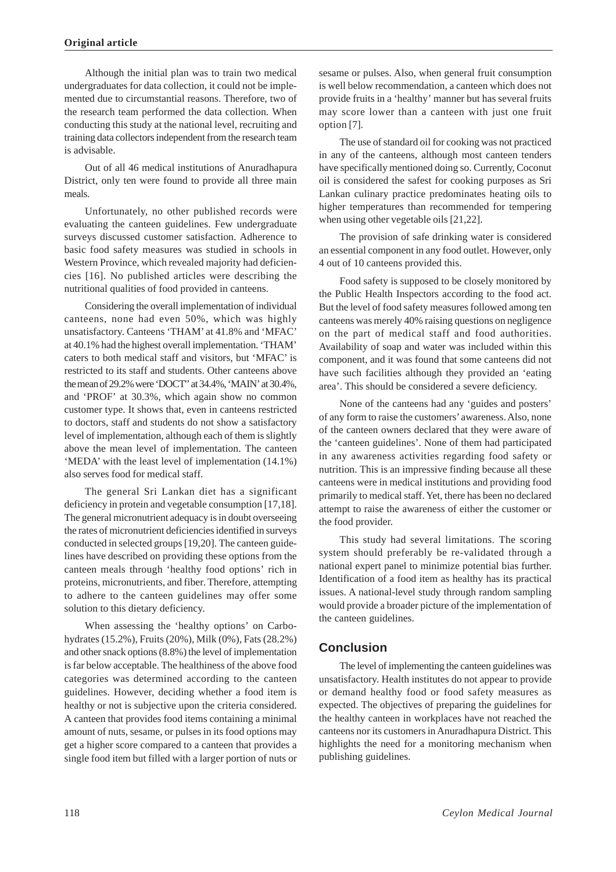Although the initial plan was to train two medical undergraduates for data collection, it could not be implemented due to circumstantial reasons. Therefore, two of the research team performed the data collection. When conducting this study at the national level, recruiting and training data collectors independent from the research team is advisable.

Out of all 46 medical institutions of Anuradhapura District, only ten were found to provide all three main meals.

Unfortunately, no other published records were evaluating the canteen guidelines. Few undergraduate surveys discussed customer satisfaction. Adherence to basic food safety measures was studied in schools in Western Province, which revealed majority had deficiencies [16]. No published articles were describing the nutritional qualities of food provided in canteens.

Considering the overall implementation of individual canteens, none had even 50%, which was highly unsatisfactory. Canteens 'THAM' at 41.8% and 'MFAC' at 40.1% had the highest overall implementation. 'THAM' caters to both medical staff and visitors, but 'MFAC' is restricted to its staff and students. Other canteens above the mean of 29.2% were 'DOCT'' at 34.4%, 'MAIN' at 30.4%, and 'PROF' at 30.3%, which again show no common customer type. It shows that, even in canteens restricted to doctors, staff and students do not show a satisfactory level of implementation, although each of them is slightly above the mean level of implementation. The canteen 'MEDA' with the least level of implementation (14.1%) also serves food for medical staff.

The general Sri Lankan diet has a significant deficiency in protein and vegetable consumption [17,18]. The general micronutrient adequacy is in doubt overseeing the rates of micronutrient deficiencies identified in surveys conducted in selected groups [19,20]. The canteen guidelines have described on providing these options from the canteen meals through 'healthy food options' rich in proteins, micronutrients, and fiber. Therefore, attempting to adhere to the canteen guidelines may offer some solution to this dietary deficiency.

When assessing the 'healthy options' on Carbohydrates (15.2%), Fruits (20%), Milk (0%), Fats (28.2%) and other snack options (8.8%) the level of implementation is far below acceptable. The healthiness of the above food categories was determined according to the canteen guidelines. However, deciding whether a food item is healthy or not is subjective upon the criteria considered. A canteen that provides food items containing a minimal amount of nuts, sesame, or pulses in its food options may get a higher score compared to a canteen that provides a single food item but filled with a larger portion of nuts or

sesame or pulses. Also, when general fruit consumption is well below recommendation, a canteen which does not provide fruits in a 'healthy' manner but has several fruits may score lower than a canteen with just one fruit option [7].

The use of standard oil for cooking was not practiced in any of the canteens, although most canteen tenders have specifically mentioned doing so. Currently, Coconut oil is considered the safest for cooking purposes as Sri Lankan culinary practice predominates heating oils to higher temperatures than recommended for tempering when using other vegetable oils [21,22].

The provision of safe drinking water is considered an essential component in any food outlet. However, only 4 out of 10 canteens provided this.

Food safety is supposed to be closely monitored by the Public Health Inspectors according to the food act. But the level of food safety measures followed among ten canteens was merely 40% raising questions on negligence on the part of medical staff and food authorities. Availability of soap and water was included within this component, and it was found that some canteens did not have such facilities although they provided an 'eating area'. This should be considered a severe deficiency.

None of the canteens had any 'guides and posters' of any form to raise the customers' awareness. Also, none of the canteen owners declared that they were aware of the 'canteen guidelines'. None of them had participated in any awareness activities regarding food safety or nutrition. This is an impressive finding because all these canteens were in medical institutions and providing food primarily to medical staff. Yet, there has been no declared attempt to raise the awareness of either the customer or the food provider.

This study had several limitations. The scoring system should preferably be re-validated through a national expert panel to minimize potential bias further. Identification of a food item as healthy has its practical issues. A national-level study through random sampling would provide a broader picture of the implementation of the canteen guidelines.

# **Conclusion**

The level of implementing the canteen guidelines was unsatisfactory. Health institutes do not appear to provide or demand healthy food or food safety measures as expected. The objectives of preparing the guidelines for the healthy canteen in workplaces have not reached the canteens nor its customers in Anuradhapura District. This highlights the need for a monitoring mechanism when publishing guidelines.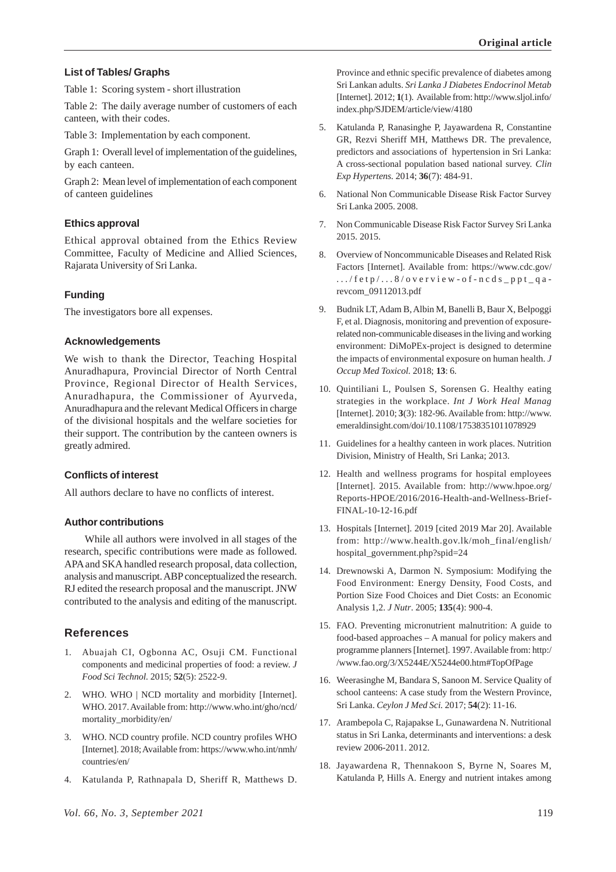## **List of Tables/ Graphs**

Table 1: Scoring system - short illustration

Table 2: The daily average number of customers of each canteen, with their codes.

Table 3: Implementation by each component.

Graph 1: Overall level of implementation of the guidelines, by each canteen.

Graph 2: Mean level of implementation of each component of canteen guidelines

## **Ethics approval**

Ethical approval obtained from the Ethics Review Committee, Faculty of Medicine and Allied Sciences, Rajarata University of Sri Lanka.

# **Funding**

The investigators bore all expenses.

#### **Acknowledgements**

We wish to thank the Director, Teaching Hospital Anuradhapura, Provincial Director of North Central Province, Regional Director of Health Services, Anuradhapura, the Commissioner of Ayurveda, Anuradhapura and the relevant Medical Officers in charge of the divisional hospitals and the welfare societies for their support. The contribution by the canteen owners is greatly admired.

#### **Conflicts of interest**

All authors declare to have no conflicts of interest.

#### **Author contributions**

While all authors were involved in all stages of the research, specific contributions were made as followed. APA and SKA handled research proposal, data collection, analysis and manuscript. ABP conceptualized the research. RJ edited the research proposal and the manuscript. JNW contributed to the analysis and editing of the manuscript.

## **References**

- 1. Abuajah CI, Ogbonna AC, Osuji CM. Functional components and medicinal properties of food: a review. *J Food Sci Technol.* 2015; **52**(5): 2522-9.
- 2. WHO. WHO | NCD mortality and morbidity [Internet]. WHO. 2017. Available from: http://www.who.int/gho/ncd/ mortality\_morbidity/en/
- WHO. NCD country profile. NCD country profiles WHO [Internet]. 2018; Available from: https://www.who.int/nmh/ countries/en/
- 4. Katulanda P, Rathnapala D, Sheriff R, Matthews D.

Province and ethnic specific prevalence of diabetes among Sri Lankan adults. *Sri Lanka J Diabetes Endocrinol Metab* [Internet]. 2012; **1**(1). Available from: http://www.sljol.info/ index.php/SJDEM/article/view/4180

- 5. Katulanda P, Ranasinghe P, Jayawardena R, Constantine GR, Rezvi Sheriff MH, Matthews DR. The prevalence, predictors and associations of hypertension in Sri Lanka: A cross-sectional population based national survey. *Clin Exp Hypertens.* 2014; **36**(7): 484-91.
- National Non Communicable Disease Risk Factor Survey Sri Lanka 2005. 2008.
- 7. Non Communicable Disease Risk Factor Survey Sri Lanka 2015. 2015.
- 8. Overview of Noncommunicable Diseases and Related Risk Factors [Internet]. Available from: https://www.cdc.gov/ .../fetp/...8/overview-of-ncds\_ppt\_qarevcom\_09112013.pdf
- 9. Budnik LT, Adam B, Albin M, Banelli B, Baur X, Belpoggi F, et al. Diagnosis, monitoring and prevention of exposurerelated non-communicable diseases in the living and working environment: DiMoPEx-project is designed to determine the impacts of environmental exposure on human health. *J Occup Med Toxicol.* 2018; **13**: 6.
- 10. Quintiliani L, Poulsen S, Sorensen G. Healthy eating strategies in the workplace. *Int J Work Heal Manag* [Internet]. 2010; **3**(3): 182-96. Available from: http://www. emeraldinsight.com/doi/10.1108/17538351011078929
- 11. Guidelines for a healthy canteen in work places. Nutrition Division, Ministry of Health, Sri Lanka; 2013.
- 12. Health and wellness programs for hospital employees [Internet]. 2015. Available from: http://www.hpoe.org/ Reports-HPOE/2016/2016-Health-and-Wellness-Brief-FINAL-10-12-16.pdf
- 13. Hospitals [Internet]. 2019 [cited 2019 Mar 20]. Available from: http://www.health.gov.lk/moh\_final/english/ hospital\_government.php?spid=24
- 14. Drewnowski A, Darmon N. Symposium: Modifying the Food Environment: Energy Density, Food Costs, and Portion Size Food Choices and Diet Costs: an Economic Analysis 1,2. *J Nutr*. 2005; **135**(4): 900-4.
- 15. FAO. Preventing micronutrient malnutrition: A guide to food-based approaches – A manual for policy makers and programme planners [Internet]. 1997. Available from: http:/ /www.fao.org/3/X5244E/X5244e00.htm#TopOfPage
- 16. Weerasinghe M, Bandara S, Sanoon M. Service Quality of school canteens: A case study from the Western Province, Sri Lanka. *Ceylon J Med Sci.* 2017; **54**(2): 11-16.
- 17. Arambepola C, Rajapakse L, Gunawardena N. Nutritional status in Sri Lanka, determinants and interventions: a desk review 2006-2011. 2012.
- 18. Jayawardena R, Thennakoon S, Byrne N, Soares M, Katulanda P, Hills A. Energy and nutrient intakes among